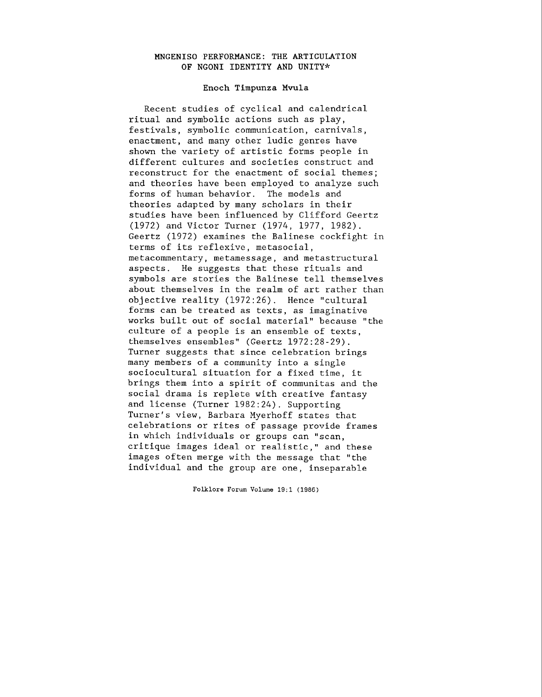## MNGENISO PERFORMANCE: THE ARTICULATION OF NGONI IDENTITY AND UNITY\*

## Enoch Timpunza **Mvula**

Recent studies of cyclical and calendrical ritual and symbolic actions such as play, festivals, symbolic communication, carnivals, enactment, and many other ludic genres have shown the variety of artistic forms people in different cultures and societies construct and reconstruct for the enactment of social themes; and theories have been employed to analyze such forms of human behavior. The models and theories adapted by many scholars in their studies have been influenced by Clifford Geertz (1972) and Victor Turner (1974, 1977, 1982). Geertz (1972) examines the Balinese cockfight in terms of its reflexive, metasocial, metacommentary, metamessage, and metastructural aspects. He suggests that these rituals and symbols are stories the Balinese tell themselves about themselves in the realm of art rather than objective reality (1972:26). Hence "cultural forms can be treated as texts, as imaginative works built out of social material" because "the culture of a people is an ensemble of texts, themselves ensembles" (Geertz 1972:28-29). Turner suggests that since celebration brings many members of a community into a single sociocultural situation for a fixed time, it brings them into a spirit of communitas and the social drama is replete with creative fantasy and license (Turner 1982:24). Supporting Turner's view, Barbara Myerhoff states that celebrations or rites of passage provide frames in which individuals or groups can "scan, critique images ideal or realistic," and these images often merge with the message that "the individual and the group are one, inseparable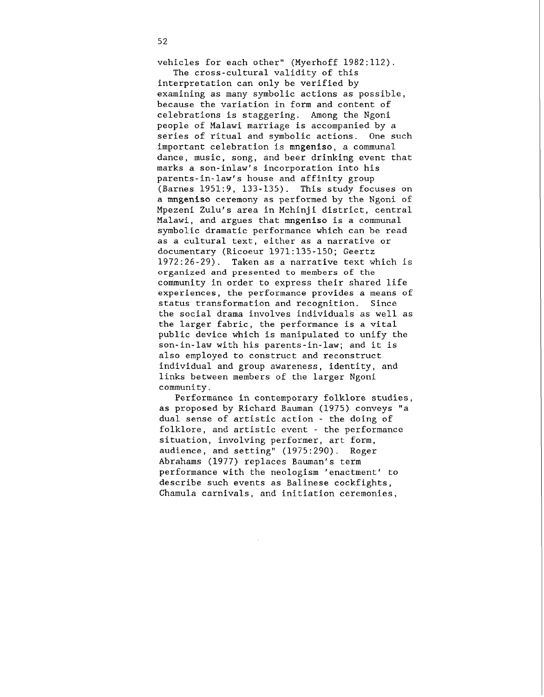vehicles for each other" (Myerhoff 1982:112).

The cross-cultural validity of this interpretation can only be verified by examining as many symbolic actions as possible, because the variation in form and content of celebrations is staggering. Among the Ngoni people of Malawi marriage is accompanied by a series of ritual and symbolic actions. One such important celebration is mngeniso, a communal dance, music, song, and beer drinking event that marks a son-inlaw's incorporation into his parents-in-law's house and affinity group (Barnes 1951:9, 133-135). This study focuses on a mngeniso ceremony as performed by the Ngoni of Mpezeni Zulu's area in Mchinji district, central Malawi, and argues that mngeniso is a communal symbolic dramatic performance which can be read as a cultural text, either as a narrative or documentary (Ricoeur 1971:135-150; Geertz 1972:26-29). Taken as a narrative text which is organized and presented to members of the community in order to express their shared life experiences, the performance provides a means of status transformation and recognition. Since the social drama involves individuals as well as the larger fabric, the performance is a vital public device which is manipulated to unify the son-in-law with his parents-in-law; and it is also employed to construct and reconstruct individual and group awareness, identity, and links between members of the larger Ngoni community.

Performance in contemporary folklore studies, as proposed by Richard Bauman (1975) conveys "a dual sense of artistic action - the doing of folklore, and artistic event - the performance situation, involving performer, art form, audience, and setting" (1975:290). Roger Abrahams (1977) replaces Bauman's term performance with the neologism 'enactment' to describe such events as Balinese cockfights, Chamula carnivals, and initiation ceremonies,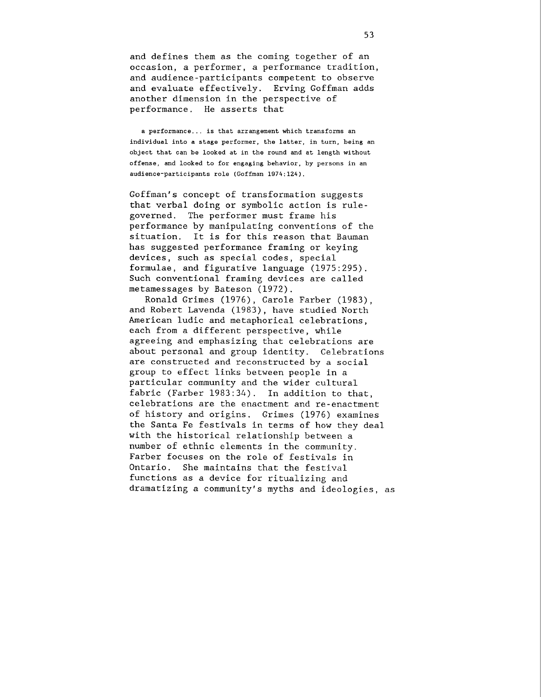and defines them as the coming together of an occasion, a performer, a performance tradition, and audience-participants competent to observe and evaluate effectively. Erving Goffman adds another dimension in the perspective of performance. He asserts that

**a performance** ... **is that arrangement which transforms an individual into a stage performer, the latter, in turn, being an object that can be looked at in the round and at length without offense, and looked to for engaging behavior, by persons in an audience-participants role (Goffman 1974:124).** 

Goffman's concept of transformation suggests that verbal doing or symbolic action is rulegoverned. The performer must frame his performance by manipulating conventions of the situation. It is for this reason that Bauman has suggested performance framing or keying devices, such as special codes, special formulae, and figurative language (1975:295). Such conventional framing devices are called metamessages by Bateson (1972).

Ronald Grimes (1976), Carole Farber (1983), and Robert Lavenda (1983), have studied North American ludic and metaphorical celebrations, each from a different perspective, while agreeing and emphasizing that celebrations are about personal and group identity. Celebrations are constructed and reconstructed by a social group to effect links between people in a particular community and the wider cultural fabric (Farber 1983:34). In addition to that, celebrations are the enactment and re-enactment of history and origins. Grimes (1976) examines the Santa Fe festivals in terms of how they deal with the historical relationship between a number of ethnic elements in the community. Farber focuses on the role of festivals in Ontario. She maintains that the festival functions as a device for ritualizing and dramatizing a community's myths and ideologies, as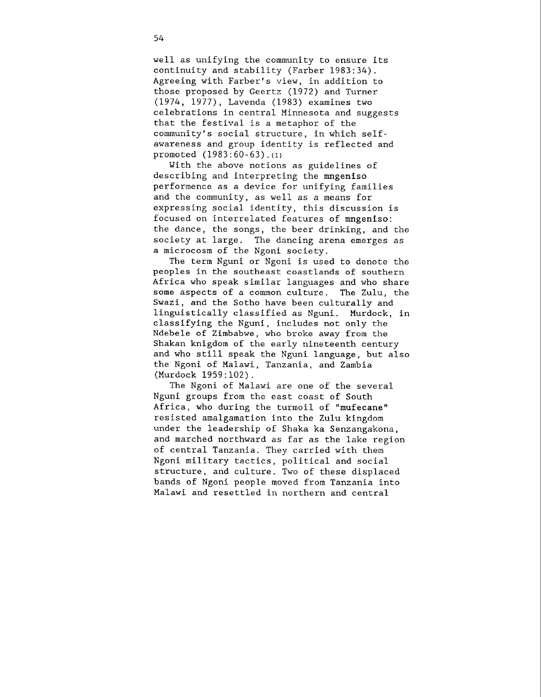well as unifying the community to ensure its continuity and stability (Farber 1983:34). Agreeing with Farber's view, in addition to those proposed by Geertz (1972) and Turner (1974, 1977), Lavenda (1983) examines two celebrations in central Minnesota and suggests that the festival is a metaphor of the community's social structure, in which selfawareness and group identity is reflected and promoted  $(1983:60-63)$ . (1)

With the above notions as guidelines of describing and interpreting the mngeniso performence as a device for unifying families and the community, as well as a means for expressing social identity, this discussion is focused on interrelated features of mngeniso: the dance, the songs, the beer drinking, and the society at large. The dancing arena emerges as a microcosm of the Ngoni society.

The term Nguni or Ngoni is used to denote the peoples in the southeast coastlands of southern Africa who speak similar languages and who share some aspects of a common culture. The Zulu, the Swazi, and the Sotho have been culturally and linguistically classified as Nguni. Murdock, in classifying the Nguni, includes not only the Ndebele of Zimbabwe, who broke away from the Shakan knigdom of the early nineteenth century and who still speak the Nguni language, but also the Ngoni of Malawi, Tanzania, and Zambia (Murdock 1959:102).

The Ngoni of Malawi are one of the several Nguni groups from the east coast of South Africa, who during the turmoil of "mufecane" resisted amalgamation into the Zulu kingdom under the leadership of Shaka ka Senzangakona, and marched northward as far as the lake region of central Tanzania. They carried with them Ngoni military tactics, political and social structure, and culture. Two of these displaced bands of Ngoni people moved from Tanzania into Malawi and resettled in northern and central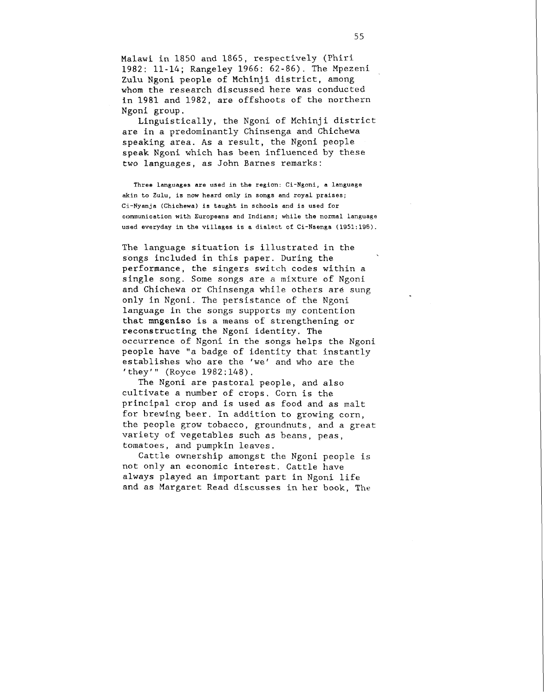Malawi in 1850 and 1865, respectively (Phiri 1982: 11-14; Rangeley 1966: 62-86). The Mpezeni Zulu Ngoni people of Mchinji district, among whom the research discussed here was conducted in 1981 and 1982, are offshoots of the northern Ngoni group.

Linguistically, the Ngoni of Mchinji district are in a predominantly Chinsenga and Chichewa speaking area. As a result, the Ngoni people speak Ngoni which has been influenced by these two languages, as John Barnes remarks:

**Three languages are used in the region: Ci-Ngoni, a language akin to Zulu, is now heard only in songs and royal praises; C1-Nyanja (Chichewa) is taught in schools and is used for communication with Europeans and Indians; while the normal language used everyday in the villages is a dialect of Ci-Nsenga** (1951:196).

The language situation is illustrated in the songs included in this paper. During the performance, the singers switch codes within a single song. Some songs are a mixture of Ngoni and Chichewa or Chinsenga while others are sung only in Ngoni. The persistance of the Ngoni language in the songs supports my contention that **mngeniso** is a means of strengthening or reconstructing the Ngoni identity. The occurrence of Ngoni in the songs helps the Ngoni people have "a badge of identity that instantly establishes who are the 'we' and who are the 'they'" (Royce 1982:148).

The Ngoni are pastoral people, and also cultivate a number of crops. Corn is the principal crop and is used as food and as malt for brewing beer. In addition to growing corn, the people grow tobacco, groundnuts, and a great variety of vegetables such as beans, peas, tomatoes, and pumpkin leaves.

Cattle ownership amongst the Ngoni people is not only an economic interest. Cattle have always played an important part in Ngoni life and as Margaret Read discusses in her book, The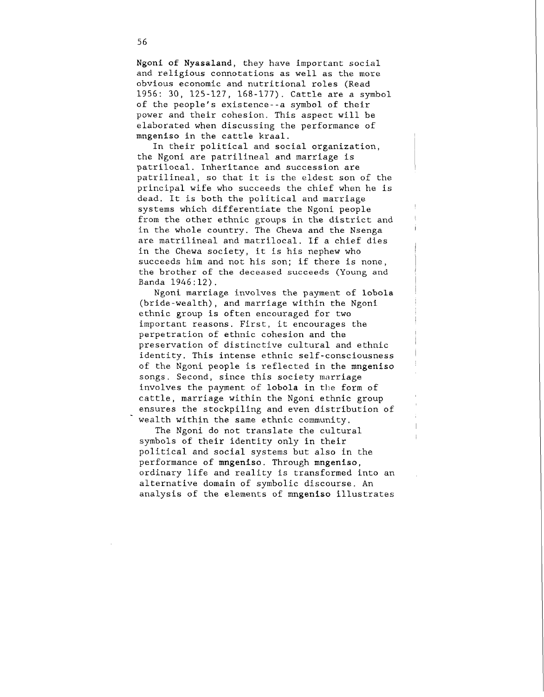Ngoni of Nyasaland, they have important social and religious connotations as well as the more obvious economic and nutritional roles (Read 1956: 30, 125-127, 168-177). Cattle are a symbol of the people's existence--a symbol of their power and their cohesion. This aspect will be elaborated when discussing the performance of mngeniso in the cattle kraal.

In their political and social organization, the Ngoni are patrilineal and marriage is patrilocal. Inheritance and succession are patrilineal, so that it is the eldest son of the principal wife who succeeds the chief when he is dead. It is both the political and marriage systems which differentiate the Ngoni people from the other ethnic groups in the district and in the whole country. The Chewa and the Nsenga are matrilineal and matrilocal. If a chief dies in the Chewa society, it is his nephew who succeeds him and not his son; if there is none, the brother of the deceased succeeds (Young and Banda 1946:12).

I

Ngoni marriage involves the payment of lobola ' (bride-wealth), and marriage within the Ngoni ethnic group is often encouraged for two important reasons. First, it encourages the perpetration of ethnic cohesion and the preservation of distinctive cultural and ethnic identity. This intense ethnic self -consciousness of the Ngoni people is reflected in the mngeniso songs. Second, since this society marriage involves the payment of lobola in the form of cattle, marriage within the Ngoni ethnic group ensures the stockpiling and even distribution of wealth within the same ethnic community.

The Ngoni do not translate the cultural symbols of their identity only in their political and social systems but also in the performance of mngeniso. Through mngeniso, ordinary life and reality is transformed into an alternative domain of symbolic discourse. An analysis of the elements of mngeniso illustrates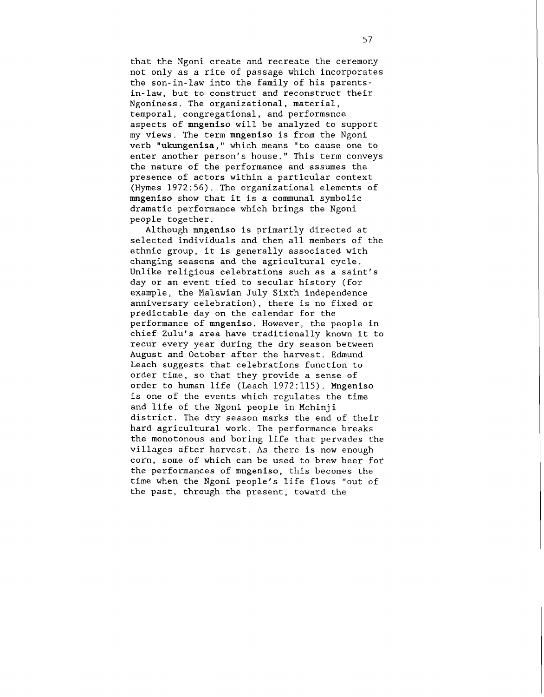that the Ngoni create and recreate the ceremony not only as a rite of passage which incorporates the son-in-law into the family of his parentsin-law, but to construct and reconstruct their Ngoniness. The organizational, material, temporal, congregational, and performance aspects of mngeniso will be analyzed to support my views. The term mngeniso is from the Ngoni verb "ukungenisa," which means "to cause one to enter another person's house." This term conveys the nature of the performance and assumes the presence of actors within a particular context (Hymes 1972:56). The organizational elements of mngeniso show that it is a communal symbolic dramatic performance which brings the Ngoni people together.

Although mngeniso is primarily directed at selected individuals and then all members of the ethnic group, it is generally associated with changing seasons and the agricultural cycle. Unlike religious celebrations such as a saint's day or an event tied to secular history (for example, the Malawian July Sixth independence anniversary celebration), there is no fixed or predictable day on the calendar for the performance of mngeniso. However, the people in chief Zulu's area have traditionally known it to recur every year during the dry season between August and October after the harvest. Edmund Leach suggests that celebrations function to order time, so that they provide a sense of order to human life (Leach 1972:115). Mngeniso is one of the events which regulates the time and life of the Ngoni people in Mchinji district. The dry season marks the end of their hard agricultural work. The performance breaks the monotonous and boring life that pervades the villages after harvest. As there is now enough corn, some of which can be used to brew beer for the performances of mngeniso, this becomes the time when the Ngoni people's life flows "out of the past, through the present, toward the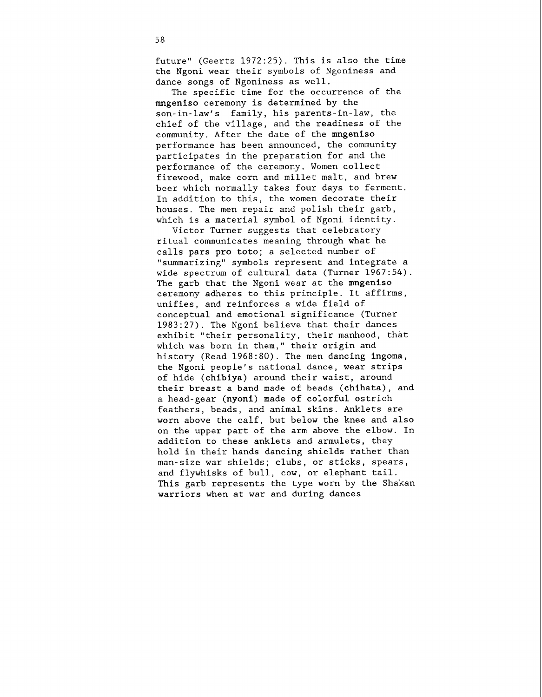future" (Geertz 1972:25). This is also the time the Ngoni wear their symbols of Ngoniness and dance songs of Ngoniness as well.

The specific time for the occurrence of the mngeniso ceremony is determined by the son-in-law's family, his parents-in-law, the chief of the village, and the readiness of the community. After the date of the mngeniso performance has been announced, the community participates in the preparation for and the performance of the ceremony. Women collect firewood, make corn and millet malt, and brew beer which normally takes four days to ferment. In addition to this, the women decorate their houses. The men repair and polish their garb, which is a material symbol of Ngoni identity.

Victor Turner suggests that celebratory ritual communicates meaning through what he calls pars pro toto; a selected number of "summarizing" symbols represent and integrate a wide spectrum of cultural data (Turner 1967:54). The garb that the Ngoni wear at the mngeniso ceremony adheres to this principle. It affirms, unifies, and reinforces a wide field of conceptual and emotional significance (Turner 1983:27). The Ngoni believe that their dances exhibit "their personality, their manhood, that which was born in them," their origin and history (Read 1968:80). The men dancing ingoma, the Ngoni people's national dance, wear strips of hide (chibiya) around their waist, around their breast a band made of beads (chihata), and a head-gear (nyoni) made of colorful ostrich feathers, beads, and animal skins. Anklets are worn above the calf, but below the knee and also on the upper part of the arm above the elbow. In addition to these anklets and armulets, they hold in their hands dancing shields rather than man-size war shields; clubs, or sticks, spears, and flywhisks of bull, cow, or elephant tail. This garb represents the type worn by the Shakan warriors when at war and during dances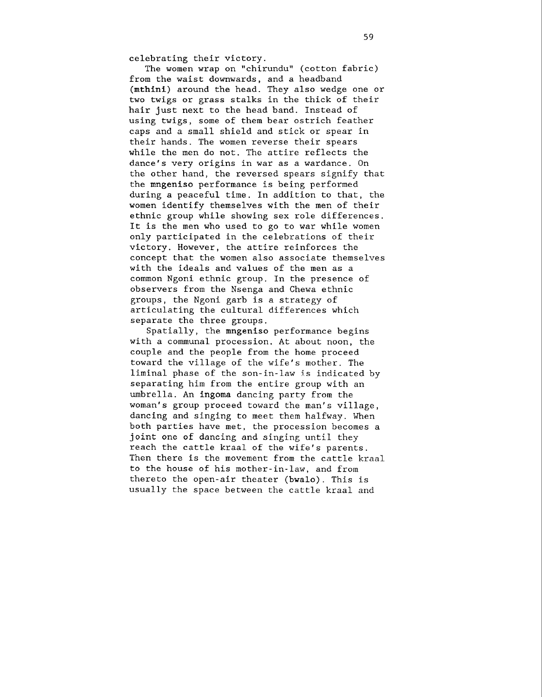celebrating their victory.

The women wrap on "chirundu" (cotton fabric) from the waist downwards, and a headband (mthini) around the head. They also wedge one or two twigs or grass stalks in the thick of their hair just next to the head band. Instead of using twigs, some of them bear ostrich feather caps and a small shield and stick or spear in their hands. The women reverse their spears while the men do not. The attire reflects the dance's very origins in war as a wardance. On the other hand, the reversed spears signify that the mngeniso performance is being performed during a peaceful time. In addition to that, the women identify themselves with the men of their ethnic group while showing sex role differences. It is the men who used to go to war while women only participated in the celebrations of their victory. However, the attire reinforces the concept that the women also associate themselves with the ideals and values of the men as a common Ngoni ethnic group. In the presence of observers from the Nsenga and Chewa ethnic groups, the Ngoni garb is a strategy of articulating the cultural differences which separate the three groups.

Spatially, the mngeniso performance begins with a communal procession. At about noon, the couple and the people from the home proceed toward the village of the wife's mother. The liminal phase of the son-in-law is indicated by separating him from the entire group with an umbrella. An ingoma dancing party from the woman's group proceed toward the man's village, dancing and singing to meet them halfway. When both parties have met, the procession becomes a joint one of dancing and singing until they reach the cattle kraal of the wife's parents. Then there is the movement from the cattle kraal to the house of his mother-in-law, and from thereto the open-air theater (bwalo). This is usually the space between the cattle kraal and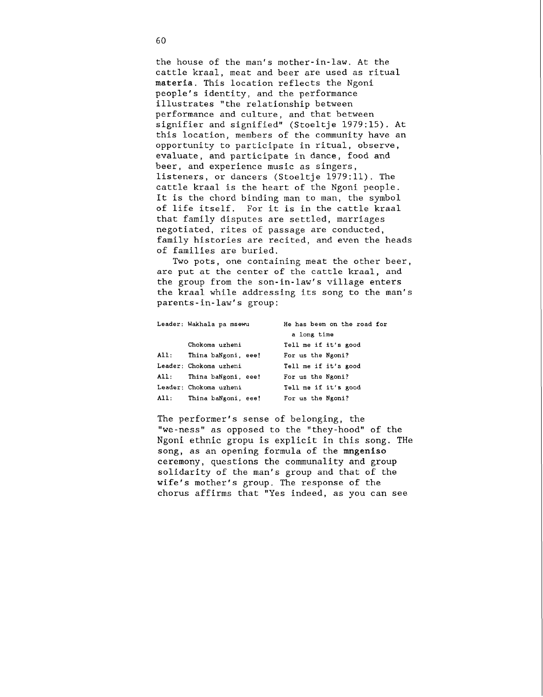the house of the man's mother-in-law. At the cattle kraal, meat and beer are used as ritual **materia.** This location reflects the Ngoni people's identity, and the performance illustrates "the relationship between performance and culture, and that between signifier and signified" (Stoeltje 1979:15). At this location, members of the community have an opportunity to participate in ritual, observe, evaluate, and participate in dance, food and beer, and experience music as singers, listeners, or dancers (Stoeltje 1979:ll). The cattle kraal is the heart of the Ngoni people. It is the chord binding man to man, the symbol of life itself. For it is in the cattle kraal that family disputes are settled, marriages negotiated, rites of passage are conducted, family histories are recited, and even the heads of families are buried.

Two pots, one containing meat the other beer, are put at the center of the cattle kraal, and the group from the son-in-law's village enters the kraal while addressing its song to the man's parents-in-law's group:

|      | Leader: Wakhala pa msewu | He has been on the road for |
|------|--------------------------|-----------------------------|
|      |                          | a long time                 |
|      | Chokoma uzheni           | Tell me if it's good        |
| AI:  | Thina baNgoni, eee!      | For us the Ngoni?           |
|      | Leader: Chokoma uzheni   | Tell me if it's good        |
| All: | Thina baNgoni, eee!      | For us the Ngoni?           |
|      | Leader: Chokoma uzheni   | Tell me if it's good        |
| AI:  | Thina baNgoni, eee!      | For us the Ngoni?           |

The performer's sense of belonging, the "we-ness" as opposed to the "they-hood" of the Ngoni ethnic gropu is explicit in this song. THe song, as an opening formula of the mngeniso ceremony, questions the communality and group solidarity of the man's group and that of the wife's mother's group. The response of the chorus affirms that "Yes indeed, as you can see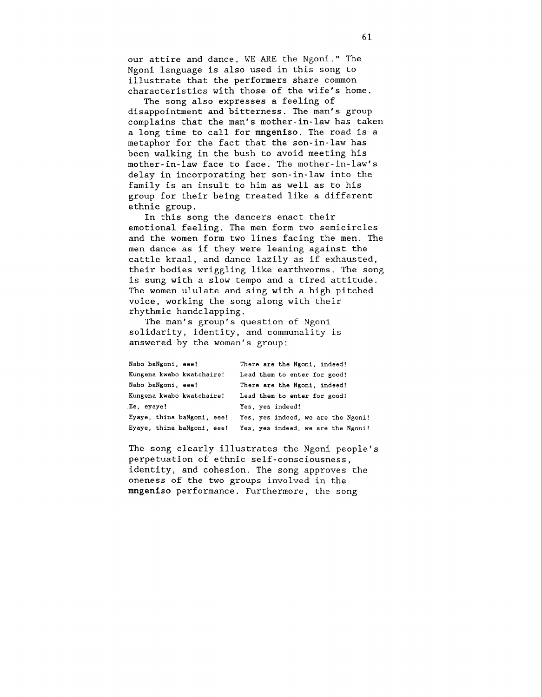our attire and dance, WE ARE the Ngoni." The Ngoni language is also used in this song to illustrate that the performers share common characteristics with those of the wife's home.

The song also expresses a feeling of disappointment and bitterness. The man's group complains that the man's mother-in-law has taken a long time to call for mngeniso. The road is a metaphor for the fact that the son-in-law has been walking in the bush to avoid meeting his mother-in-law face to face. The mother-in-law's delay in incorporating her son-in-law into the family is an insult to him as well as to his group for their being treated like a different ethnic group.

In this song the dancers enact their emotional feeling. The men form two semicircles and the women form two lines facing the men. The men dance as if they were leaning against the cattle kraal, and dance lazily as if exhausted, their bodies wriggling like earthworms. The song is sung with a slow tempo and a tired attitude. The women ululate and sing with a high pitched voice, working the song along with their rhythmic handclapping.

The man's group's question of Ngoni solidarity, identity, and communality is answered by the woman's group:

| Nabo baNgoni, eee!         | There are the Ngoni, indeed!       |
|----------------------------|------------------------------------|
| Kungena kwabo kwatchaire!  | Lead them to enter for good!       |
| Nabo baNgoni, eee!         | There are the Ngoni, indeed!       |
| Kungena kwabo kwatchaire!  | Lead them to enter for good!       |
| Ee. eyaye!                 | Yes, yes indeed!                   |
| Eyaye, thina baNgoni, eee! | Yes, yes indeed, we are the Ngoni! |
| Eyaye, thina baNgoni, eee! | Yes, yes indeed, we are the Ngoni! |

The song clearly illustrates the Ngoni people's perpetuation of ethnic self-consciousness, identity, and cohesion. The song approves the oneness of the two groups involved in the mngeniso performance. Furthermore, the song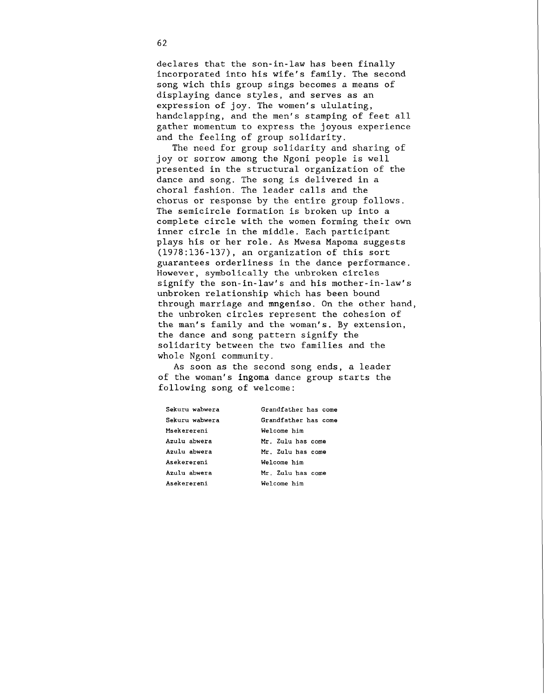declares that the son-in-law has been finally incorporated into his wife's family. The second song wich this group sings becomes a means of displaying dance styles, and serves as an expression of joy. The women's ululating, handclapping, and the men's stamping of feet all gather momentum to express the joyous experience and the feeling of group solidarity.

The need for group solidarity and sharing of joy or sorrow among the Ngoni people is well presented in the structural organization of the dance and song. The song is delivered in a choral fashion. The leader calls and the chorus or response by the entire group follows. The semicircle formation is broken up into a complete circle with the women forming their own inner circle in the middle. Each participant plays his or her role. As Mwesa Mapoma suggests (1978:136-137), an organization of this sort guarantees orderliness in the dance performance. However, symbolically the unbroken circles signify the son-in-law's and his mother-in-law's unbroken relationship which has been bound through marriage and mngeniso. On the other hand, the unbroken circles represent the cohesion of the man's family and the woman's. By extension, the dance and song pattern signify the solidarity between the two families and the whole Ngoni community.

As soon as the second song ends, a leader of the woman's ingoma dance group starts the following song of welcome:

| Sekuru wabwera | Grandfather has come |
|----------------|----------------------|
| Sekuru wabwera | Grandfather has come |
| Msekerereni    | Welcome him          |
| Azulu abwera   | Mr. Zulu has come    |
| Azulu abwera   | Mr. Zulu has come    |
| Asekerereni    | Welcome him          |
| Azulu abwera   | Mr. Zulu has come    |
| Asekerereni    | Welcome him          |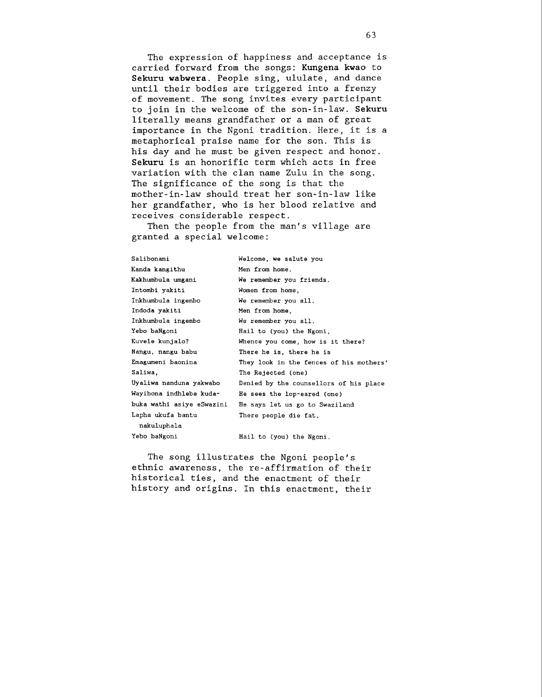The expression of happiness and acceptance is carried forward from the songs: **Kungena kwao** to **Sekuru wabwera.** People sing, ululate, and dance until their bodies are triggered into a frenzy of movement. The song invites every participant to join in the welcome of the son-in-law. **Sekuru**  literally means grandfather or a man of great importance in the Ngoni tradition. Here, it is a metaphorical praise name for the son. This is his day and he must be given respect and honor. **Sekuru** is an honorific term which acts in free variation with the clan name Zulu in the song. The significance of the song is that the mother-in-law should treat her son-in-law like her grandfather, who is her blood relative and receives considerable respect.

Then the people from the man's village are granted a special welcome:

| Salibonani                | Welcome, we salute you                  |
|---------------------------|-----------------------------------------|
| Kanda kangithu            | Men from home.                          |
| Kakhumbula umgani         | We remember you friends.                |
| Intombi yakiti            | Women from home,                        |
| Inkhumbula ingembo        | We remember you all.                    |
| Indoda yakiti             | Men from home,                          |
| Inkhumbula ingembo        | We remember you all.                    |
| Yebo baNgoni              | Hail to (you) the Ngoni,                |
| Kuvele kunjalo?           | Whence you come, how is it there?       |
| Nangu, nangu babu         | There he is, there he is                |
| Emagumeni baonina         | They look in the fences of his mothers' |
| Saliwa.                   | The Rejected (one)                      |
| Uyaliwa nanduna yakwabo   | Denied by the counsellors of his place  |
| Wayibona indhlebe kuda-   | He sees the lop-eared (one)             |
| buka wathi asiye eSwazini | He says let us go to Swaziland          |
| Lapha ukufa bantu         | There people die fat.                   |
| nakuluphala               |                                         |
| Yebo baNgoni              | Hail to (you) the Ngoni.                |

The song illustrates the Ngoni people's ethnic awareness, the re-affirmation of their historical ties, and the enactment of their history and origins. In this enactment, their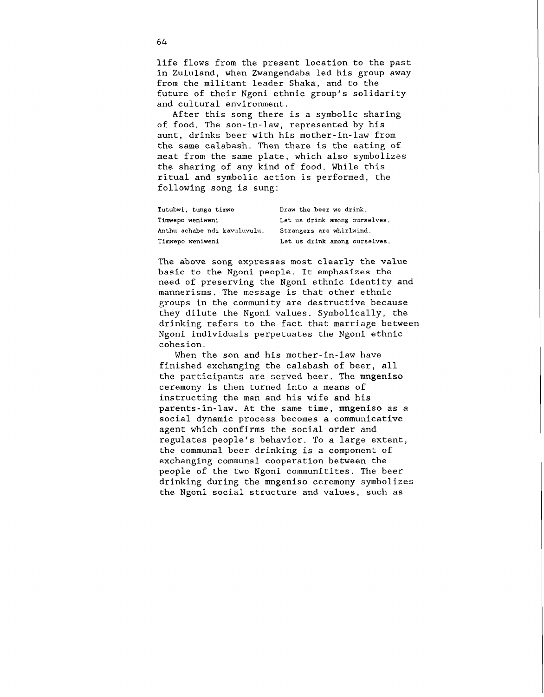life flows from the present location to the past in Zululand, when Zwangendaba led his group away from the militant leader Shaka, and to the future of their Ngoni ethnic group's solidarity and cultural environment.

After this song there is a symbolic sharing of food. The son-in-law, represented by his aunt, drinks beer with his mother-in-law from the same calabash. Then there is the eating of meat from the same plate, which also symbolizes the sharing of any kind of food. While this ritual and symbolic action is performed, the following song is sung:

| Tutubwi, tunga timwe         | Draw the beer we drink.       |
|------------------------------|-------------------------------|
| Timwepo weniweni             | Let us drink among ourselves. |
| Anthu achabe ndi kavuluvulu. | Strangers are whirlwind.      |
| Timwepo weniweni             | Let us drink among ourselves. |

The above song expresses most clearly the value basic to the Ngoni people. It emphasizes the need of preserving the Ngoni ethnic identity and mannerisms. The message is that other ethnic groups in the community are destructive because they dilute the Ngoni values. Symbolically, the drinking refers to the fact that marriage between Ngoni individuals perpetuates the Ngoni ethnic cohesion.

When the son and his mother-in-law have finished exchanging the calabash of beer, all the participants are served beer. The **mngeniso**  ceremony is then turned into a means of instructing the man and his wife and his parents-in-law. At the same time, **mngeniso** as a social dynamic process becomes a communicative agent which confirms the social order and regulates people's behavior. To a large extent, the communal beer drinking is a component of exchanging communal cooperation between the people of the two Ngoni communitites. The beer drinking during the **mngeniso** ceremony symbolizes the Ngoni social structure and values, such as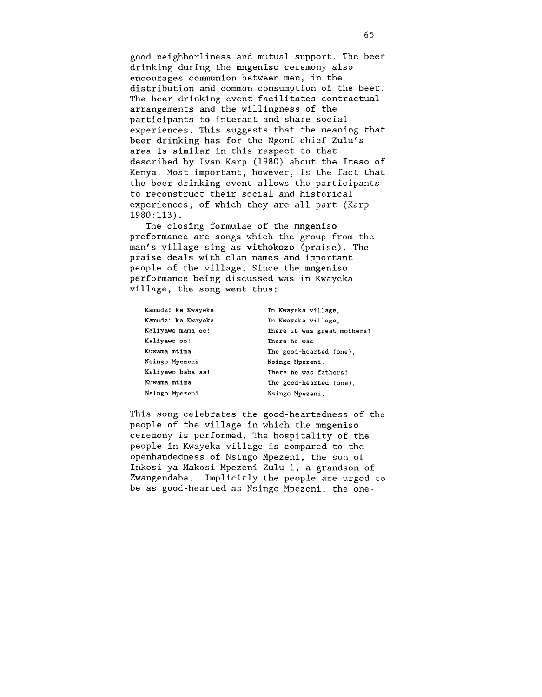good neighborliness and mutual support. The beer drinking during the mngeniso ceremony also encourages communion between men, in the distribution and common consumption of the beer. The beer drinking event facilitates contractual arrangements and the willingness of the participants to interact and share social experiences. This suggests that the meaning that beer drinking has for the Ngoni chief Zulu's area is similar in this respect to that described by Ivan Karp (1980) about the Iteso of Kenya. Most important, however, is the fact that the beer drinking event allows the participants to reconstruct their social and historical experiences, of which they are all part (Karp 1980:113).

The closing formulae of the mngeniso preformance are songs which the group from the man's village sing as vithokozo (praise). The praise deals with clan names and important people of the village. Since the mngeniso performance being discussed was in Kwayeka village, the song went thus:

| Kamudzi ka Kwayeka | In Kwayeka village,         |
|--------------------|-----------------------------|
| Kamudzi ka Kwayeka | In Kwayeka village.         |
| Kaliyawo mama ee!  | There it was great mothers! |
| Kaliyawo oo!       | There he was                |
| Kuwama mtima       | The good-hearted (one).     |
| Nsingo Mpezeni     | Nsingo Mpezeni.             |
| Kaliyawo baba aa!  | There he was fathers!       |
| Kuwama mtima       | The good-hearted (one).     |
| Nsingo Mpezeni     | Nsingo Mpezeni.             |

This song celebrates the good-heartedness of the people of the village in which the mngeniso ceremony is performed. The hospitality of the people in Kwayeka village is compared to the openhandedness of Nsingo Mpezeni, the son of Inkosi ya Makosi Mpezeni Zulu 1, a grandson of Zwangendaba. Implicitly the people are urged to be as good-hearted as Nsingo Mpezeni, the one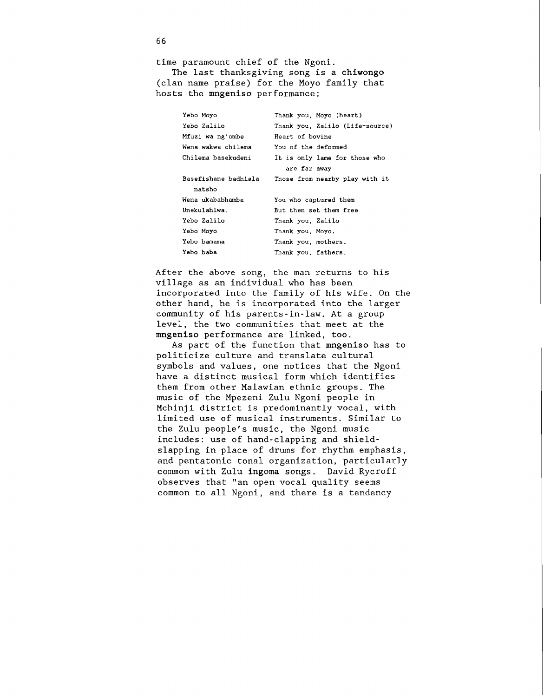time paramount chief of the Ngoni.

The last thanksgiving song is a chiwongo (clan name praise) for the Moyo family that hosts the mngeniso performance:

| Thank you, Moyo (heart)         |  |  |
|---------------------------------|--|--|
| Thank you, Zalilo (Life-source) |  |  |
| Heart of bovine                 |  |  |
| You of the deformed             |  |  |
| It is only lame for those who   |  |  |
| are far away                    |  |  |
| Those from nearby play with it  |  |  |
| natsho                          |  |  |
| You who captured them           |  |  |
| But then set them free          |  |  |
| Thank you. Zalilo               |  |  |
| Thank you, Moyo,                |  |  |
| Thank you, mothers,             |  |  |
| Thank you. fathers.             |  |  |
|                                 |  |  |

After the above song, the man returns to his village as an individual who has been incorporated into the family of his wife. On the other hand, he is incorporated into the larger community of his parents-in-law. At a group level, the two communities that meet at the mngeniso performance are linked, too.

As part of the function that mngeniso has to politicize culture and translate cultural symbols and values, one notices that the Ngoni have a distinct musical form which identifies them from other Malawian ethnic groups. The music of the Mpezeni Zulu Ngoni people in Mchinji district is predominantly vocal, with limited use of musical instruments. Similar to the Zulu people's music, the Ngoni music includes: use of hand-clapping and shieldslapping in place of drums for rhythm emphasis, and pentatonic tonal organization, particularly common with Zulu ingoma songs. David Rycroff observes that "an open vocal quality seems common to all Ngoni, and there is a tendency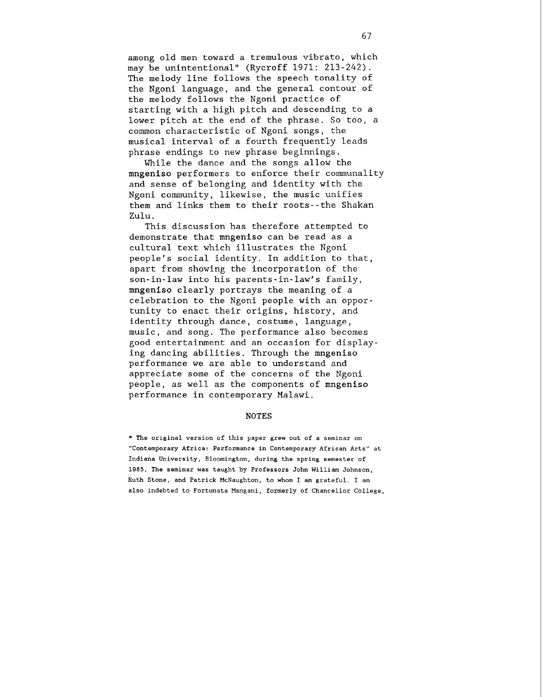among old men toward a tremulous vibrato, which may be unintentional" (Rycroff 1971: 213-242). The melody line follows the speech tonality of the Ngoni language, and the general contour of the melody follows the Ngoni practice of starting with a high pitch and descending to a lower pitch at the end of the phrase. So too, a common characteristic of Ngoni songs, the musical interval of a fourth frequently leads phrase endings to new phrase beginnings.

While the dance and the songs allow the mngeniso performers to enforce their communality and sense of belonging and identity with the Ngoni community, likewise, the music unifies them and links them to their roots--the Shakan Zulu.

This discussion has therefore attempted to demonstrate that mngeniso can be read as a cultural text which illustrates the Ngoni people's social identity. In addition to that, apart from showing the incorporation of the son-in-law into his parents-in-law's family, mngeniso clearly portrays the meaning of a celebration to the Ngoni people with an opportunity to enact their origins, history, and identity through dance, costume, language, music, and song. The performance also becomes good entertainment and an occasion for displaying dancing abilities. Through the mngeniso performance we are able to understand and appreciate some of the concerns of the Ngoni people, as well as the components of mngeniso performance in contemporary Malawi.

## **NOTES**

\* **The original version of this paper grew out of a seminar on "Contemporary Africa: Performance in Contemporary African Arts" at Indiana University, Bloomington, during the spring semester of 1985. The seminar was taught by Professors John William Johnson, Ruth Stone, and Patrick McNaughton, to whom I am grateful. I am also indebted to Fortunata Mangani, formerly of Chancellor College,**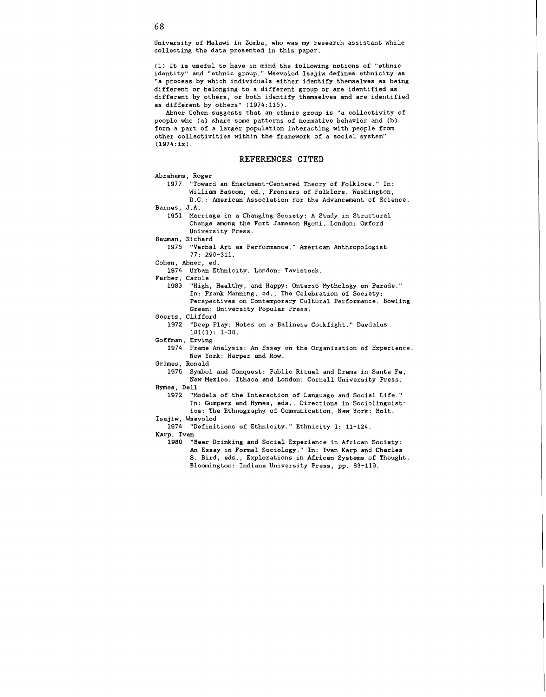University of Malawi in Zomba, who was my research assistant while collecting the data presented in this paper.

(1) It is useful to have in mind the following notions of "ethnic identity" and "ethnic group." Wsevolod Isajiw defines ethnicity as "a process by which individuals either identify themselves as being different or belonging to a different group or are identified as different by others, or both identify themselves and are identified as different by others" (1974:115).

Abner Cohen suggests that an ethnic group is "a collectivity of people who (a) share some patterns of normative behavior and (b) form a part of a larger population interacting with people from other collectivities within the framework of a social system" (1974:ix).

## **REFERENCES CITED**

Abrahams, Roger<br>1977 "Towar

- "Toward an Enactment-Centered Theory of Folklore." In: William Bascom, ed., Froniers of Folklore. Washington, D.C.: American Association for the Advancement of Science.
- Barnes, J.A.

1951 Marriage in a Changing Society: **A** Study in Structural Change among the Fort Jameson Ngoni. London: Oxford University Press.

Bauman, Richard

- 1975 "Verbal Art as Performance," American Anthropologist 77: 290-311.
- Cohen, Abner, ed.

1974 Urban Ethnicity. London: Tavistock.

Farber, Carole<br>1983 "High

- "High, Healthy, and Happy: Ontario Mythology on Parade." In: Frank Manning, ed., The Celebration of Society: Perspectives on Contemporary Cultural Performance. Bowling Green: University Popular Press.
- Geertz, Clifford
	- 1972 "Deep Play: Notes on a Balinese Cockfight.'' Daedalus lOl(1): 1-36.
- Gof fman, Erving
	- 1974 Frame Analysis: An Essay on the Organization of Experience New York: Harper and Row.

Grimes, Ronald

1976 Symbol and Conquest: Public Ritual and Drama in Santa Fe, New Mexico. Ithaca and London: Cornell University Press.

Hymes, Dell

1972 "Models of the Interaction of Language and Social Life." In: Gumperz and Hymes, eds., Directions in Sociolinguistics: The Ethnography of Comnunication. New York: Holt.

Isajiw, Wsevolod

1974 "Definitions of Ethnicity." Ethnicity 1: 11-124.

Karp, Ivan

1980 "Beer Drinking and Social Experience in African Society: An Essay in Formal Sociology." In: Ivan Karp and Charles S. Bird, eds., Explorations in African Systems of Thought. Bloomington: Indiana University Press, pp. 83-119.